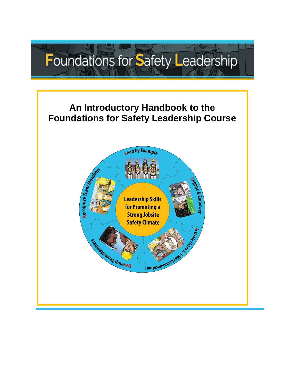# $14^{47}$ Foundations for Safety Leadership

## **An Introductory Handbook to the Foundations for Safety Leadership Course**

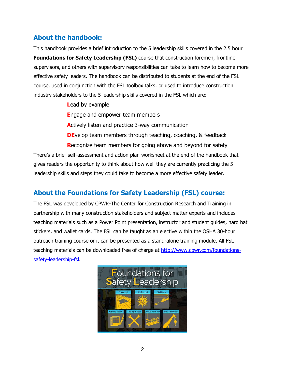### **About the handbook:**

This handbook provides a brief introduction to the 5 leadership skills covered in the 2.5 hour **Foundations for Safety Leadership (FSL)** course that construction foremen, frontline supervisors, and others with supervisory responsibilities can take to learn how to become more effective safety leaders. The handbook can be distributed to students at the end of the FSL course, used in conjunction with the FSL toolbox talks, or used to introduce construction industry stakeholders to the 5 leadership skills covered in the FSL which are:

**L**ead by example

**E**ngage and empower team members

**A**ctively listen and practice 3-way communication

**DE**velop team members through teaching, coaching, & feedback

**R**ecognize team members for going above and beyond for safety There's a brief self-assessment and action plan worksheet at the end of the handbook that gives readers the opportunity to think about how well they are currently practicing the 5 leadership skills and steps they could take to become a more effective safety leader.

### **About the Foundations for Safety Leadership (FSL) course:**

The FSL was developed by CPWR-The Center for Construction Research and Training in partnership with many construction stakeholders and subject matter experts and includes teaching materials such as a Power Point presentation, instructor and student guides, hard hat stickers, and wallet cards. The FSL can be taught as an elective within the OSHA 30-hour outreach training course or it can be presented as a stand-alone training module. All FSL teaching materials can be downloaded free of charge at [http://www.cpwr.com/foundations](http://www.cpwr.com/foundations-safety-leadership-fsl)[safety-leadership-fsl.](http://www.cpwr.com/foundations-safety-leadership-fsl)

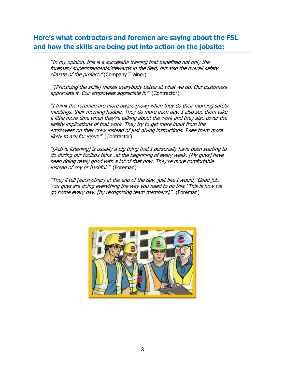### **Here's what contractors and foremen are saying about the FSL and how the skills are being put into action on the jobsite:**

"In my opinion, this is a successful training that benefited not only the foreman/ superintendents/stewards in the field, but also the overall safety climate of the project." (Company Trainer)

"[Practicing the skills] makes everybody better at what we do. Our customers appreciate it. Our employees appreciate it." (Contractor)

"I think the foremen are more aware [now] when they do their morning safety meetings, their morning huddle. They do more each day. I also see them take a little more time when they're talking about the work and they also cover the safety implications of that work. They try to get more input from the employees on their crew instead of just giving instructions. I see them more likely to ask for input." (Contractor)

"[Active listening] is usually a big thing that I personally have been starting to do during our toolbox talks…at the beginning of every week. [My guys] have been doing really good with a lot of that now. They're more comfortable instead of shy or bashful." (Foreman)

"They'll tell [each other] at the end of the day, just like I would, 'Good job. You guys are doing everything the way you need to do this.' This is how we go home every day, [by recognizing team members]." (Foreman)

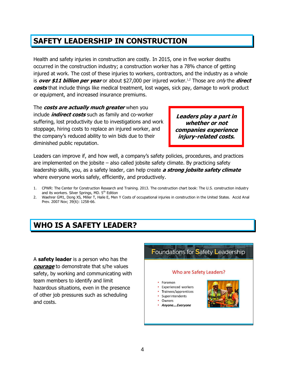## **SAFETY LEADERSHIP IN CONSTRUCTION**

Health and safety injuries in construction are costly. In 2015, one in five worker deaths occurred in the construction industry; a construction worker has a 78% chance of getting injured at work. The cost of these injuries to workers, contractors, and the industry as a whole is *over \$11 billion per year* or about \$27,000 per injured worker.<sup>1,2</sup> Those are *only* the *direct* **costs** that include things like medical treatment, lost wages, sick pay, damage to work product or equipment, and increased insurance premiums.

The **costs are actually much greater** when you include **indirect costs** such as family and co-worker suffering, lost productivity due to investigations and work stoppage, hiring costs to replace an injured worker, and the company's reduced ability to win bids due to their diminished public reputation.

**Leaders play a part in whether or not companies experience injury-related costs.**

Leaders can improve if, and how well, a company's safety policies, procedures, and practices are implemented on the jobsite – also called jobsite safety climate. By practicing safety leadership skills, you, as a safety leader, can help create **a strong jobsite safety climate** where everyone works safely, efficiently, and productively.

- 1. CPWR: The Center for Construction Research and Training. 2013. The construction chart book: The U.S. construction industry and its workers. Silver Springs, MD. 5<sup>th</sup> Edition
- 2. Waehrer GM1, Dong XS, Miller T, Haile E, Men Y Costs of occupational injuries in construction in the United States. Accid Anal Prev. 2007 Nov; 39(6): 1258-66.

## **WHO IS A SAFETY LEADER?**

A **safety leader** is a person who has the **courage** to demonstrate that s/he values safety, by working and communicating with team members to identify and limit hazardous situations, even in the presence of other job pressures such as scheduling and costs.

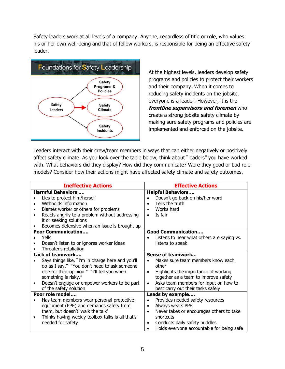Safety leaders work at all levels of a company. Anyone, regardless of title or role, who values his or her own well-being and that of fellow workers, is responsible for being an effective safety leader.



At the highest levels, leaders develop safety programs and policies to protect their workers and their company. When it comes to reducing safety incidents on the jobsite, everyone is a leader. However, it is the **frontline supervisors and foremen** who create a strong jobsite safety climate by making sure safety programs and policies are implemented and enforced on the jobsite.

Leaders interact with their crew/team members in ways that can either negatively or positively affect safety climate. As you look over the table below, think about "leaders" you have worked with. What behaviors did they display? How did they communicate? Were they good or bad role models? Consider how their actions might have affected safety climate and safety outcomes.

| <b>Ineffective Actions</b>                                                                                                                                                                                                                                             | <b>Effective Actions</b>                                                                                                                                                                                                                                |  |  |
|------------------------------------------------------------------------------------------------------------------------------------------------------------------------------------------------------------------------------------------------------------------------|---------------------------------------------------------------------------------------------------------------------------------------------------------------------------------------------------------------------------------------------------------|--|--|
| <b>Harmful Behaviors </b><br>Lies to protect him/herself<br>Withholds information<br>Blames worker or others for problems<br>Reacts angrily to a problem without addressing<br>it or seeking solutions<br>Becomes defensive when an issue is brought up                | <b>Helpful Behaviors</b><br>Doesn't go back on his/her word<br>Tells the truth<br>Works hard<br>Is fair<br><b>Good Communication</b>                                                                                                                    |  |  |
| <b>Poor Communication</b><br>Yells<br>Doesn't listen to or ignores worker ideas<br>Threatens retaliation                                                                                                                                                               | Listens to hear what others are saying vs.<br>listens to speak                                                                                                                                                                                          |  |  |
| Lack of teamwork<br>Says things like, "I'm in charge here and you'll<br>do as I say." "You don't need to ask someone<br>else for their opinion." "I'll tell you when<br>something is risky."<br>Doesn't engage or empower workers to be part<br>of the safety solution | Sense of teamwork<br>Makes sure team members know each<br>other<br>Highlights the importance of working<br>$\bullet$<br>together as a team to improve safety<br>Asks team members for input on how to<br>$\bullet$<br>best carry out their tasks safely |  |  |
| Poor role model<br>Has team members wear personal protective<br>equipment (PPE) and demands safety from<br>them, but doesn't 'walk the talk'<br>Thinks having weekly toolbox talks is all that's<br>٠<br>needed for safety                                             | Leads by example<br>Provides needed safety resources<br>Always wears PPE<br>Never takes or encourages others to take<br>$\bullet$<br>shortcuts<br>Conducts daily safety huddles<br>$\bullet$<br>Holds everyone accountable for being safe               |  |  |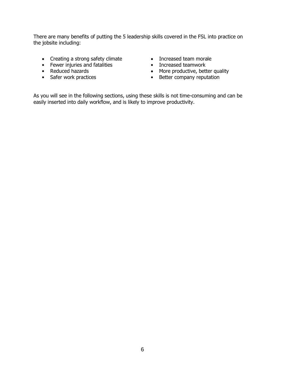There are many benefits of putting the 5 leadership skills covered in the FSL into practice on the jobsite including:

- Creating a strong safety climate
- Fewer injuries and fatalities
- Reduced hazards
- Safer work practices
- Increased team morale
- Increased teamwork
- More productive, better quality
- Better company reputation

As you will see in the following sections, using these skills is not time-consuming and can be easily inserted into daily workflow, and is likely to improve productivity.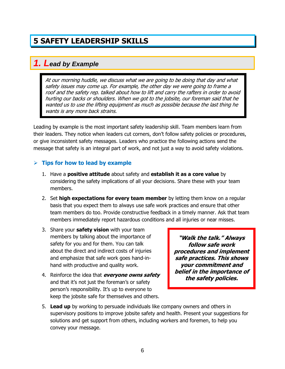## **5 SAFETY LEADERSHIP SKILLS**

#### *1. Lead by Example*

At our morning huddle, we discuss what we are going to be doing that day and what safety issues may come up. For example, the other day we were going to frame a roof and the safety rep. talked about how to lift and carry the rafters in order to avoid hurting our backs or shoulders. When we got to the jobsite, our foreman said that he wanted us to use the lifting equipment as much as possible because the last thing he wants is any more back strains.

Leading by example is the most important safety leadership skill. Team members learn from their leaders. They notice when leaders cut corners, don't follow safety policies or procedures, or give inconsistent safety messages. Leaders who practice the following actions send the message that safety is an integral part of work, and not just a way to avoid safety violations.

#### $\triangleright$  Tips for how to lead by example

- 1. Have a **positive attitude** about safety and **establish it as a core value** by considering the safety implications of all your decisions. Share these with your team members.
- 2. Set **high expectations for every team member** by letting them know on a regular basis that you expect them to always use safe work practices and ensure that other team members do too. Provide constructive feedback in a timely manner. Ask that team members immediately report hazardous conditions and all injuries or near misses.
- 3. Share your **safety vision** with your team members by talking about the importance of safety for you and for them. You can talk about the direct and indirect costs of injuries and emphasize that safe work goes hand-inhand with productive and quality work.
- 4. Reinforce the idea that **everyone owns safety**  and that it's not just the foreman's or safety person's responsibility. It's up to everyone to keep the jobsite safe for themselves and others.

**"Walk the talk." Always follow safe work procedures and implement safe practices. This shows your commitment and belief in the importance of the safety policies.** 

5. **Lead up** by working to persuade individuals like company owners and others in supervisory positions to improve jobsite safety and health. Present your suggestions for solutions and get support from others, including workers and foremen, to help you convey your message.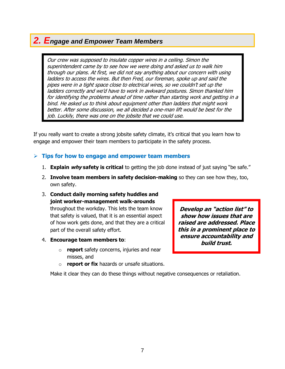### *2. Engage and Empower Team Members*

Our crew was supposed to insulate copper wires in a ceiling. Simon the superintendent came by to see how we were doing and asked us to walk him through our plans. At first, we did not say anything about our concern with using ladders to access the wires. But then Fred, our foreman, spoke up and said the pipes were in a tight space close to electrical wires, so we couldn't set up the ladders correctly and we'd have to work in awkward postures. Simon thanked him for identifying the problems ahead of time rather than starting work and getting in a bind. He asked us to think about equipment other than ladders that might work better. After some discussion, we all decided a one-man lift would be best for the job. Luckily, there was one on the jobsite that we could use.

If you really want to create a strong jobsite safety climate, it's critical that you learn how to engage and empower their team members to participate in the safety process.

#### **Tips for how to engage and empower team members**

- 1. **Explain why safety is critical** to getting the job done instead of just saying "be safe."
- 2. **Involve team members in safety decision-making** so they can see how they, too, own safety.
- 3. **Conduct daily morning safety huddles and joint worker-management walk-arounds** throughout the workday. This lets the team know that safety is valued, that it is an essential aspect of how work gets done, and that they are a critical part of the overall safety effort.
- 4. **Encourage team members to**:
	- o **report** safety concerns, injuries and near misses, and
	- **report or fix** hazards or unsafe situations.

Make it clear they can do these things without negative consequences or retaliation.

**Develop an "action list" to show how issues that are raised are addressed. Place this in a prominent place to ensure accountability and build trust.**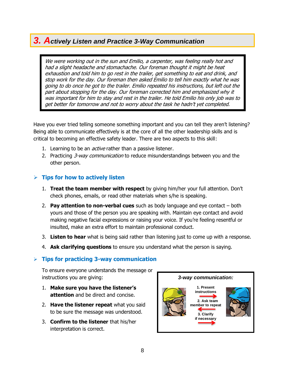### *3. Actively Listen and Practice 3-Way Communication*

We were working out in the sun and Emilio, a carpenter, was feeling really hot and had a slight headache and stomachache. Our foreman thought it might be heat exhaustion and told him to go rest in the trailer, get something to eat and drink, and stop work for the day. Our foreman then asked Emilio to tell him exactly what he was going to do once he got to the trailer. Emilio repeated his instructions, but left out the part about stopping for the day. Our foreman corrected him and emphasized why it was important for him to stay and rest in the trailer. He told Emilio his only job was to get better for tomorrow and not to worry about the task he hadn't yet completed.

Have you ever tried telling someone something important and you can tell they aren't listening? Being able to communicate effectively is at the core of all the other leadership skills and is critical to becoming an effective safety leader. There are two aspects to this skill:

- 1. Learning to be an *active* rather than a passive listener.
- 2. Practicing 3-way communication to reduce misunderstandings between you and the other person.

#### **Tips for how to actively listen**

- 1. **Treat the team member with respect** by giving him/her your full attention. Don't check phones, emails, or read other materials when s/he is speaking.
- 2. **Pay attention to non-verbal cues** such as body language and eye contact both yours and those of the person you are speaking with. Maintain eye contact and avoid making negative facial expressions or raising your voice. If you're feeling resentful or insulted, make an extra effort to maintain professional conduct.
- 3. **Listen to hear** what is being said rather than listening just to come up with a response.
- 4. **Ask clarifying questions** to ensure you understand what the person is saying.

#### **Tips for practicing 3-way communication**

To ensure everyone understands the message or instructions you are giving:

- 1. **Make sure you have the listener's attention** and be direct and concise.
- 2. **Have the listener repeat** what you said to be sure the message was understood.
- 3. **Confirm to the listener** that his/her interpretation is correct.

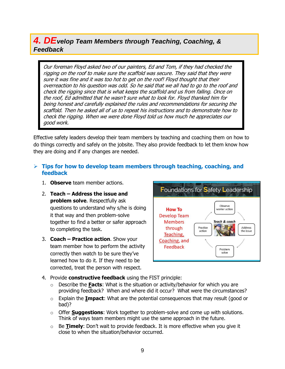### *4. DEvelop Team Members through Teaching, Coaching, & Feedback*

Our foreman Floyd asked two of our painters, Ed and Tom, if they had checked the rigging on the roof to make sure the scaffold was secure. They said that they were sure it was fine and it was too hot to get on the roof! Floyd thought that their overreaction to his question was odd. So he said that we all had to go to the roof and check the rigging since that is what keeps the scaffold and us from falling. Once on the roof, Ed admitted that he wasn't sure what to look for. Floyd thanked him for being honest and carefully explained the rules and recommendations for securing the scaffold. Then he asked all of us to repeat his instructions and to demonstrate how to check the rigging. When we were done Floyd told us how much he appreciates our good work.

Effective safety leaders develop their team members by teaching and coaching them on how to do things correctly and safely on the jobsite. They also provide feedback to let them know how they are doing and if any changes are needed.

#### **Tips for how to develop team members through teaching, coaching, and feedback**

- 1. **Observe** team member actions.
- 2. **Teach – Address the issue and problem solve**. Respectfully ask questions to understand why s/he is doing it that way and then problem-solve together to find a better or safer approach to completing the task.
- 3. **Coach – Practice action**. Show your team member how to perform the activity correctly then watch to be sure they've learned how to do it. If they need to be corrected, treat the person with respect.



- 4. Provide **constructive feedback** using the FIST principle:
	- o Describe the **Facts**: What is the situation or activity/behavior for which you are providing feedback? When and where did it occur? What were the circumstances?
	- o Explain the **Impact**: What are the potential consequences that may result (good or bad)?
	- o Offer **Suggestions**: Work together to problem-solve and come up with solutions. Think of ways team members might use the same approach in the future.
	- o Be **Timely**: Don't wait to provide feedback. It is more effective when you give it close to when the situation/behavior occurred.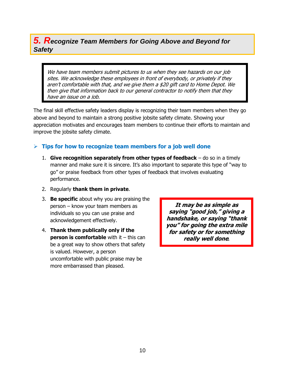#### *5. Recognize Team Members for Going Above and Beyond for Safety*

We have team members submit pictures to us when they see hazards on our job sites. We acknowledge these employees in front of everybody, or privately if they aren't comfortable with that, and we give them a \$20 gift card to Home Depot. We then give that information back to our general contractor to notify them that they have an issue on a job.

The final skill effective safety leaders display is recognizing their team members when they go above and beyond to maintain a strong positive jobsite safety climate. Showing your appreciation motivates and encourages team members to continue their efforts to maintain and improve the jobsite safety climate.

#### **Tips for how to recognize team members for a job well done**

- 1. **Give recognition separately from other types of feedback** do so in a timely manner and make sure it is sincere. It's also important to separate this type of "way to go" or praise feedback from other types of feedback that involves evaluating performance.
- 2. Regularly **thank them in private**.
- 3. **Be specific** about why you are praising the person – know your team members as individuals so you can use praise and acknowledgement effectively.
- 4. **Thank them publically only if the person is comfortable** with it – this can be a great way to show others that safety is valued. However, a person uncomfortable with public praise may be more embarrassed than pleased.

**It may be as simple as saying "good job," giving a handshake, or saying "thank you" for going the extra mile for safety or for something really well done***.*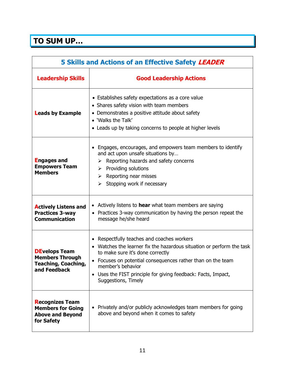## **TO SUM UP…**

| 5 Skills and Actions of an Effective Safety LEADER                                           |                                                                                                                                                                                                                                                                                                                                 |  |
|----------------------------------------------------------------------------------------------|---------------------------------------------------------------------------------------------------------------------------------------------------------------------------------------------------------------------------------------------------------------------------------------------------------------------------------|--|
| <b>Leadership Skills</b>                                                                     | <b>Good Leadership Actions</b>                                                                                                                                                                                                                                                                                                  |  |
| <b>Leads by Example</b>                                                                      | • Establishes safety expectations as a core value<br>• Shares safety vision with team members<br>• Demonstrates a positive attitude about safety<br>• 'Walks the Talk'<br>• Leads up by taking concerns to people at higher levels                                                                                              |  |
| <b>Engages and</b><br><b>Empowers Team</b><br><b>Members</b>                                 | • Engages, encourages, and empowers team members to identify<br>and act upon unsafe situations by<br>$\triangleright$ Reporting hazards and safety concerns<br>$\triangleright$ Providing solutions<br>$\triangleright$ Reporting near misses<br>Stopping work if necessary<br>≻                                                |  |
| <b>Actively Listens and</b><br><b>Practices 3-way</b><br><b>Communication</b>                | • Actively listens to <b>hear</b> what team members are saying<br>• Practices 3-way communication by having the person repeat the<br>message he/she heard                                                                                                                                                                       |  |
| <b>DEvelops Team</b><br><b>Members Through</b><br><b>Teaching, Coaching,</b><br>and Feedback | • Respectfully teaches and coaches workers<br>Watches the learner fix the hazardous situation or perform the task<br>to make sure it's done correctly<br>• Focuses on potential consequences rather than on the team<br>member's behavior<br>Uses the FIST principle for giving feedback: Facts, Impact,<br>Suggestions, Timely |  |
| <b>Recognizes Team</b><br><b>Members for Going</b><br><b>Above and Beyond</b><br>for Safety  | • Privately and/or publicly acknowledges team members for going<br>above and beyond when it comes to safety                                                                                                                                                                                                                     |  |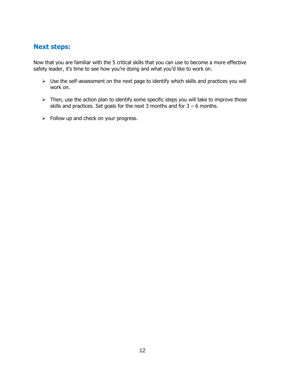#### **Next steps:**

Now that you are familiar with the 5 critical skills that you can use to become a more effective safety leader, it's time to see how you're doing and what you'd like to work on.

- $\triangleright$  Use the self-assessment on the next page to identify which skills and practices you will work on.
- $\triangleright$  Then, use the action plan to identify some specific steps you will take to improve those skills and practices. Set goals for the next 3 months and for  $3 - 6$  months.
- $\triangleright$  Follow up and check on your progress.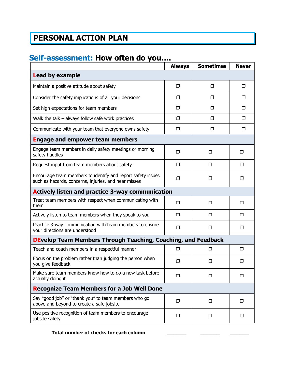## **PERSONAL ACTION PLAN**

## **Self-assessment: How often do you….**

|                                                                                                                     | <b>Always</b> | <b>Sometimes</b> | <b>Never</b> |  |
|---------------------------------------------------------------------------------------------------------------------|---------------|------------------|--------------|--|
| <b>Lead by example</b>                                                                                              |               |                  |              |  |
| Maintain a positive attitude about safety                                                                           | $\Box$        | $\Box$           | $\Box$       |  |
| Consider the safety implications of all your decisions                                                              | $\Box$        | □                | $\Box$       |  |
| Set high expectations for team members                                                                              | $\Box$        | $\Box$           | $\Box$       |  |
| Walk the talk $-$ always follow safe work practices                                                                 | $\Box$        | □                | $\Box$       |  |
| Communicate with your team that everyone owns safety                                                                | $\Box$        | □                | $\Box$       |  |
| <b>Engage and empower team members</b>                                                                              |               |                  |              |  |
| Engage team members in daily safety meetings or morning<br>safety huddles                                           | $\Box$        | $\Box$           | □            |  |
| Request input from team members about safety                                                                        | $\Box$        | $\Box$           | □            |  |
| Encourage team members to identify and report safety issues<br>such as hazards, concerns, injuries, and near misses | □             | □                | □            |  |
| <b>Actively listen and practice 3-way communication</b>                                                             |               |                  |              |  |
| Treat team members with respect when communicating with<br>them                                                     | $\Box$        | $\Box$           | □            |  |
| Actively listen to team members when they speak to you                                                              | $\Box$        | $\Box$           | □            |  |
| Practice 3-way communication with team members to ensure<br>your directions are understood                          | $\Box$        | $\Box$           | $\Box$       |  |
| <b>DEvelop Team Members Through Teaching, Coaching, and Feedback</b>                                                |               |                  |              |  |
| Teach and coach members in a respectful manner                                                                      | ⊓             | □                | □            |  |
| Focus on the problem rather than judging the person when<br>you give feedback                                       | $\Box$        | □                | □            |  |
| Make sure team members know how to do a new task before<br>actually doing it                                        | $\Box$        | □                | σ            |  |
| <b>Recognize Team Members for a Job Well Done</b>                                                                   |               |                  |              |  |
| Say "good job" or "thank you" to team members who go<br>above and beyond to create a safe jobsite                   | $\Box$        | σ                | $\Box$       |  |
| Use positive recognition of team members to encourage<br>jobsite safety                                             | $\Box$        | $\Box$           | $\Box$       |  |

#### **Total number of checks for each column \_\_\_\_\_\_ \_\_\_\_\_\_ \_\_\_\_\_\_**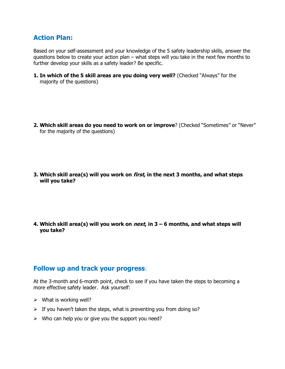#### **Action Plan:**

Based on your self-assessment and your knowledge of the 5 safety leadership skills, answer the questions below to create your action plan – what steps will you take in the next few months to further develop your skills as a safety leader? Be specific.

**1. In which of the 5 skill areas are you doing very well?** (Checked "Always" for the majority of the questions)

**2. Which skill areas do you need to work on or improve**? (Checked "Sometimes" or "Never" for the majority of the questions)

**3. Which skill area(s) will you work on first, in the next 3 months, and what steps will you take?**

**4. Which skill area(s) will you work on next, in 3 – 6 months, and what steps will you take?**

#### **Follow up and track your progress**:

At the 3-month and 6-month point, check to see if you have taken the steps to becoming a more effective safety leader. Ask yourself:

- $\triangleright$  What is working well?
- $\triangleright$  If you haven't taken the steps, what is preventing you from doing so?
- $\triangleright$  Who can help you or give you the support you need?